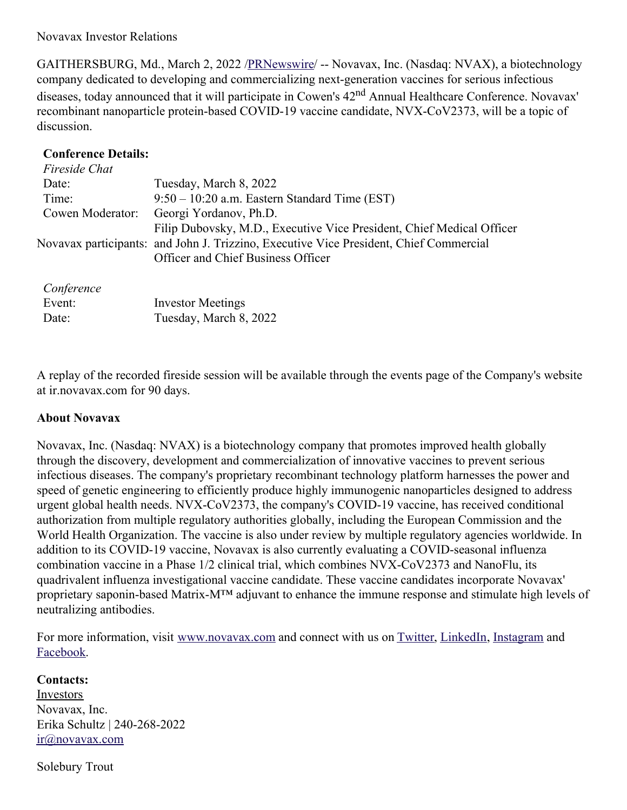Novavax Investor Relations

GAITHERSBURG, Md., March 2, 2022 [/PRNewswire](http://www.prnewswire.com/)/ -- Novavax, Inc. (Nasdaq: NVAX), a biotechnology company dedicated to developing and commercializing next-generation vaccines for serious infectious diseases, today announced that it will participate in Cowen's 42<sup>nd</sup> Annual Healthcare Conference. Novavax' recombinant nanoparticle protein-based COVID-19 vaccine candidate, NVX-CoV2373, will be a topic of discussion.

## **Conference Details:**

| Fireside Chat |                                                                                        |  |
|---------------|----------------------------------------------------------------------------------------|--|
| Date:         | Tuesday, March 8, 2022                                                                 |  |
| Time:         | $9:50 - 10:20$ a.m. Eastern Standard Time (EST)                                        |  |
|               | Cowen Moderator: Georgi Yordanov, Ph.D.                                                |  |
|               | Filip Dubovsky, M.D., Executive Vice President, Chief Medical Officer                  |  |
|               | Novavax participants: and John J. Trizzino, Executive Vice President, Chief Commercial |  |
|               | Officer and Chief Business Officer                                                     |  |
|               |                                                                                        |  |

## *Conference*

| Event: | <b>Investor Meetings</b> |
|--------|--------------------------|
| Date:  | Tuesday, March 8, 2022   |

A replay of the recorded fireside session will be available through the events page of the Company's website at ir.novavax.com for 90 days.

## **About Novavax**

Novavax, Inc. (Nasdaq: NVAX) is a biotechnology company that promotes improved health globally through the discovery, development and commercialization of innovative vaccines to prevent serious infectious diseases. The company's proprietary recombinant technology platform harnesses the power and speed of genetic engineering to efficiently produce highly immunogenic nanoparticles designed to address urgent global health needs. NVX-CoV2373, the company's COVID-19 vaccine, has received conditional authorization from multiple regulatory authorities globally, including the European Commission and the World Health Organization. The vaccine is also under review by multiple regulatory agencies worldwide. In addition to its COVID-19 vaccine, Novavax is also currently evaluating a COVID-seasonal influenza combination vaccine in a Phase 1/2 clinical trial, which combines NVX-CoV2373 and NanoFlu, its quadrivalent influenza investigational vaccine candidate. These vaccine candidates incorporate Novavax' proprietary saponin-based Matrix-M™ adjuvant to enhance the immune response and stimulate high levels of neutralizing antibodies.

For more information, visit [www.novavax.com](https://c212.net/c/link/?t=0&l=en&o=3460980-1&h=3623927874&u=https%3A%2F%2Fc212.net%2Fc%2Flink%2F%3Ft%3D0%26l%3Den%26o%3D3457869-1%26h%3D982408174%26u%3Dhttps%253A%252F%252Fc212.net%252Fc%252Flink%252F%253Ft%253D0%2526l%253Den%2526o%253D3440781-1%2526h%253D3964594936%2526u%253Dhttps%25253A%25252F%25252Fc212.net%25252Fc%25252Flink%25252F%25253Ft%25253D0%252526l%25253Den%252526o%25253D3395501-1%252526h%25253D2463599076%252526u%25253Dhttps%2525253A%2525252F%2525252Fc212.net%2525252Fc%2525252Flink%2525252F%2525253Ft%2525253D0%25252526l%2525253Den%25252526o%2525253D3392093-1%25252526h%2525253D203886192%25252526u%2525253Dhttps%252525253A%252525252F%252525252Fc212.net%252525252Fc%252525252Flink%252525252F%252525253Ft%252525253D0%2525252526l%252525253Den%2525252526o%252525253D3387216-1%2525252526h%252525253D3917401194%2525252526u%252525253Dhttps%25252525253A%25252525252F%25252525252Fc212.net%25252525252Fc%25252525252Flink%25252525252F%25252525253Ft%25252525253D0%252525252526l%25252525253Den%252525252526o%25252525253D3260461-1%252525252526h%25252525253D2897486098%252525252526u%25252525253Dhttp%2525252525253A%2525252525252F%2525252525252Fwww.novavax.com%2525252525252F%252525252526a%25252525253Dwww.novavax.com%2525252526a%252525253Dwww.novavax.com%25252526a%2525253Dwww.novavax.com%252526a%25253Dwww.novavax.com%2526a%253Dwww.novavax.com%26a%3Dwww.novavax.com&a=www.novavax.com) and connect with us on [Twitter](https://c212.net/c/link/?t=0&l=en&o=3460980-1&h=2111058387&u=https%3A%2F%2Fc212.net%2Fc%2Flink%2F%3Ft%3D0%26l%3Den%26o%3D3457869-1%26h%3D572566602%26u%3Dhttps%253A%252F%252Fc212.net%252Fc%252Flink%252F%253Ft%253D0%2526l%253Den%2526o%253D3440781-1%2526h%253D105479535%2526u%253Dhttps%25253A%25252F%25252Fc212.net%25252Fc%25252Flink%25252F%25253Ft%25253D0%252526l%25253Den%252526o%25253D3395501-1%252526h%25253D4221703946%252526u%25253Dhttps%2525253A%2525252F%2525252Fc212.net%2525252Fc%2525252Flink%2525252F%2525253Ft%2525253D0%25252526l%2525253Den%25252526o%2525253D3392093-1%25252526h%2525253D1222342448%25252526u%2525253Dhttps%252525253A%252525252F%252525252Fc212.net%252525252Fc%252525252Flink%252525252F%252525253Ft%252525253D0%2525252526l%252525253Den%2525252526o%252525253D3387216-1%2525252526h%252525253D3606837610%2525252526u%252525253Dhttps%25252525253A%25252525252F%25252525252Fc212.net%25252525252Fc%25252525252Flink%25252525252F%25252525253Ft%25252525253D0%252525252526l%25252525253Den%252525252526o%25252525253D3260461-1%252525252526h%25252525253D1316526774%252525252526u%25252525253Dhttps%2525252525253A%2525252525252F%2525252525252Fc212.net%2525252525252Fc%2525252525252Flink%2525252525252F%2525252525253Ft%2525252525253D0%25252525252526l%2525252525253Den%25252525252526o%2525252525253D3158017-1%25252525252526h%2525252525253D500821283%25252525252526u%2525252525253Dhttps%252525252525253A%252525252525252F%252525252525252Ftwitter.com%252525252525252FNovavax%25252525252526a%2525252525253DTwitter%252525252526a%25252525253DTwitter%2525252526a%252525253DTwitter%25252526a%2525253DTwitter%252526a%25253DTwitter%2526a%253DTwitter%26a%3DTwitter&a=Twitter), [LinkedIn](https://c212.net/c/link/?t=0&l=en&o=3460980-1&h=91088807&u=https%3A%2F%2Fc212.net%2Fc%2Flink%2F%3Ft%3D0%26l%3Den%26o%3D3457869-1%26h%3D1725473980%26u%3Dhttps%253A%252F%252Fc212.net%252Fc%252Flink%252F%253Ft%253D0%2526l%253Den%2526o%253D3440781-1%2526h%253D2733326919%2526u%253Dhttps%25253A%25252F%25252Fc212.net%25252Fc%25252Flink%25252F%25253Ft%25253D0%252526l%25253Den%252526o%25253D3395501-1%252526h%25253D853375093%252526u%25253Dhttps%2525253A%2525252F%2525252Fc212.net%2525252Fc%2525252Flink%2525252F%2525253Ft%2525253D0%25252526l%2525253Den%25252526o%2525253D3392093-1%25252526h%2525253D1325598136%25252526u%2525253Dhttps%252525253A%252525252F%252525252Fc212.net%252525252Fc%252525252Flink%252525252F%252525253Ft%252525253D0%2525252526l%252525253Den%2525252526o%252525253D3387216-1%2525252526h%252525253D2935962557%2525252526u%252525253Dhttps%25252525253A%25252525252F%25252525252Fc212.net%25252525252Fc%25252525252Flink%25252525252F%25252525253Ft%25252525253D0%252525252526l%25252525253Den%252525252526o%25252525253D3260461-1%252525252526h%25252525253D1508558197%252525252526u%25252525253Dhttps%2525252525253A%2525252525252F%2525252525252Fc212.net%2525252525252Fc%2525252525252Flink%2525252525252F%2525252525253Ft%2525252525253D0%25252525252526l%2525252525253Den%25252525252526o%2525252525253D3158017-1%25252525252526h%2525252525253D3702938248%25252525252526u%2525252525253Dhttps%252525252525253A%252525252525252F%252525252525252Fwww.linkedin.com%252525252525252Fcompany%252525252525252Fnovavax%252525252525252F%25252525252526a%2525252525253DLinkedIn%252525252526a%25252525253DLinkedIn%2525252526a%252525253DLinkedIn%25252526a%2525253DLinkedIn%252526a%25253DLinkedIn%2526a%253DLinkedIn%26a%3DLinkedIn&a=LinkedIn), [Instagram](https://c212.net/c/link/?t=0&l=en&o=3460980-1&h=1934081492&u=https%3A%2F%2Fc212.net%2Fc%2Flink%2F%3Ft%3D0%26l%3Den%26o%3D3457869-1%26h%3D3437899170%26u%3Dhttps%253A%252F%252Fc212.net%252Fc%252Flink%252F%253Ft%253D0%2526l%253Den%2526o%253D3440781-1%2526h%253D1486889287%2526u%253Dhttps%25253A%25252F%25252Fc212.net%25252Fc%25252Flink%25252F%25253Ft%25253D0%252526l%25253Den%252526o%25253D3395501-1%252526h%25253D3574403071%252526u%25253Dhttps%2525253A%2525252F%2525252Fc212.net%2525252Fc%2525252Flink%2525252F%2525253Ft%2525253D0%25252526l%2525253Den%25252526o%2525253D3392093-1%25252526h%2525253D64626343%25252526u%2525253Dhttps%252525253A%252525252F%252525252Fc212.net%252525252Fc%252525252Flink%252525252F%252525253Ft%252525253D0%2525252526l%252525253Den%2525252526o%252525253D3387216-1%2525252526h%252525253D844488893%2525252526u%252525253Dhttps%25252525253A%25252525252F%25252525252Fc212.net%25252525252Fc%25252525252Flink%25252525252F%25252525253Ft%25252525253D0%252525252526l%25252525253Den%252525252526o%25252525253D3367039-1%252525252526h%25252525253D3348182013%252525252526u%25252525253Dhttps%2525252525253A%2525252525252F%2525252525252Fwww.instagram.com%2525252525252Fnovavax%2525252525252F%252525252526a%25252525253DInstagram%2525252526a%252525253DInstagram%25252526a%2525253DInstagram%252526a%25253DInstagram%2526a%253DInstagram%26a%3DInstagram&a=Instagram) and [Facebook](https://c212.net/c/link/?t=0&l=en&o=3460980-1&h=2708151560&u=https%3A%2F%2Fc212.net%2Fc%2Flink%2F%3Ft%3D0%26l%3Den%26o%3D3457869-1%26h%3D2159235736%26u%3Dhttps%253A%252F%252Fc212.net%252Fc%252Flink%252F%253Ft%253D0%2526l%253Den%2526o%253D3440781-1%2526h%253D3738538262%2526u%253Dhttps%25253A%25252F%25252Fc212.net%25252Fc%25252Flink%25252F%25253Ft%25253D0%252526l%25253Den%252526o%25253D3395501-1%252526h%25253D1061571609%252526u%25253Dhttps%2525253A%2525252F%2525252Fc212.net%2525252Fc%2525252Flink%2525252F%2525253Ft%2525253D0%25252526l%2525253Den%25252526o%2525253D3392093-1%25252526h%2525253D2234833677%25252526u%2525253Dhttps%252525253A%252525252F%252525252Fc212.net%252525252Fc%252525252Flink%252525252F%252525253Ft%252525253D0%2525252526l%252525253Den%2525252526o%252525253D3387216-1%2525252526h%252525253D4091724087%2525252526u%252525253Dhttps%25252525253A%25252525252F%25252525252Fwww.facebook.com%25252525252FNovavax%25252525252F%2525252526a%252525253DFacebook%25252526a%2525253DFacebook%252526a%25253DFacebook%2526a%253DFacebook%26a%3DFacebook&a=Facebook).

## **Contacts:**

Investors Novavax, Inc. Erika Schultz | 240-268-2022 [ir@novavax.com](https://c212.net/c/link/?t=0&l=en&o=3460980-1&h=3286631749&u=https%3A%2F%2Fprndl2-irisxe3.prnewswire.local%2FUsers%2Famysnewacccount%2FLibrary%2FContainers%2Fcom.apple.mail%2FData%2FLibrary%2FMail%2520Downloads%2F2B28E226-F441-410B-ACF6-D143622D5F55%2Fir%40novavax.com&a=ir%40novavax.com)

Solebury Trout